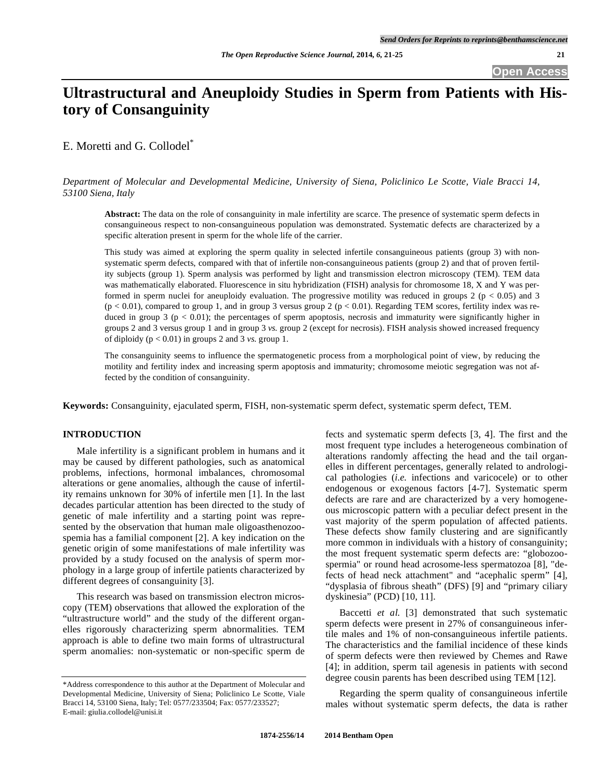# **Ultrastructural and Aneuploidy Studies in Sperm from Patients with History of Consanguinity**

E. Moretti and G. Collodel\*

*Department of Molecular and Developmental Medicine, University of Siena, Policlinico Le Scotte, Viale Bracci 14, 53100 Siena, Italy* 

**Abstract:** The data on the role of consanguinity in male infertility are scarce. The presence of systematic sperm defects in consanguineous respect to non-consanguineous population was demonstrated. Systematic defects are characterized by a specific alteration present in sperm for the whole life of the carrier.

This study was aimed at exploring the sperm quality in selected infertile consanguineous patients (group 3) with nonsystematic sperm defects, compared with that of infertile non-consanguineous patients (group 2) and that of proven fertility subjects (group 1). Sperm analysis was performed by light and transmission electron microscopy (TEM). TEM data was mathematically elaborated. Fluorescence in situ hybridization (FISH) analysis for chromosome 18, X and Y was performed in sperm nuclei for aneuploidy evaluation. The progressive motility was reduced in groups 2 ( $p < 0.05$ ) and 3  $(p < 0.01)$ , compared to group 1, and in group 3 versus group 2  $(p < 0.01)$ . Regarding TEM scores, fertility index was reduced in group 3 ( $p < 0.01$ ); the percentages of sperm apoptosis, necrosis and immaturity were significantly higher in groups 2 and 3 versus group 1 and in group 3 *vs.* group 2 (except for necrosis). FISH analysis showed increased frequency of diploidy  $(p < 0.01)$  in groups 2 and 3 *vs.* group 1.

The consanguinity seems to influence the spermatogenetic process from a morphological point of view, by reducing the motility and fertility index and increasing sperm apoptosis and immaturity; chromosome meiotic segregation was not affected by the condition of consanguinity.

**Keywords:** Consanguinity, ejaculated sperm, FISH, non-systematic sperm defect, systematic sperm defect, TEM.

# **INTRODUCTION**

Male infertility is a significant problem in humans and it may be caused by different pathologies, such as anatomical problems, infections, hormonal imbalances, chromosomal alterations or gene anomalies, although the cause of infertility remains unknown for 30% of infertile men [1]. In the last decades particular attention has been directed to the study of genetic of male infertility and a starting point was represented by the observation that human male oligoasthenozoospemia has a familial component [2]. A key indication on the genetic origin of some manifestations of male infertility was provided by a study focused on the analysis of sperm morphology in a large group of infertile patients characterized by different degrees of consanguinity [3].

This research was based on transmission electron microscopy (TEM) observations that allowed the exploration of the "ultrastructure world" and the study of the different organelles rigorously characterizing sperm abnormalities. TEM approach is able to define two main forms of ultrastructural sperm anomalies: non-systematic or non-specific sperm de

fects and systematic sperm defects [3, 4]. The first and the most frequent type includes a heterogeneous combination of alterations randomly affecting the head and the tail organelles in different percentages, generally related to andrological pathologies (*i.e.* infections and varicocele) or to other endogenous or exogenous factors [4-7]. Systematic sperm defects are rare and are characterized by a very homogeneous microscopic pattern with a peculiar defect present in the vast majority of the sperm population of affected patients. These defects show family clustering and are significantly more common in individuals with a history of consanguinity; the most frequent systematic sperm defects are: "globozoospermia" or round head acrosome-less spermatozoa [8], "defects of head neck attachment" and "acephalic sperm" [4], "dysplasia of fibrous sheath" (DFS) [9] and "primary ciliary dyskinesia" (PCD) [10, 11].

Baccetti *et al.* [3] demonstrated that such systematic sperm defects were present in 27% of consanguineous infertile males and 1% of non-consanguineous infertile patients. The characteristics and the familial incidence of these kinds of sperm defects were then reviewed by Chemes and Rawe [4]; in addition, sperm tail agenesis in patients with second degree cousin parents has been described using TEM [12].

Regarding the sperm quality of consanguineous infertile males without systematic sperm defects, the data is rather

<sup>\*</sup>Address correspondence to this author at the Department of Molecular and Developmental Medicine, University of Siena; Policlinico Le Scotte, Viale Bracci 14, 53100 Siena, Italy; Tel: 0577/233504; Fax: 0577/233527; E-mail: giulia.collodel@unisi.it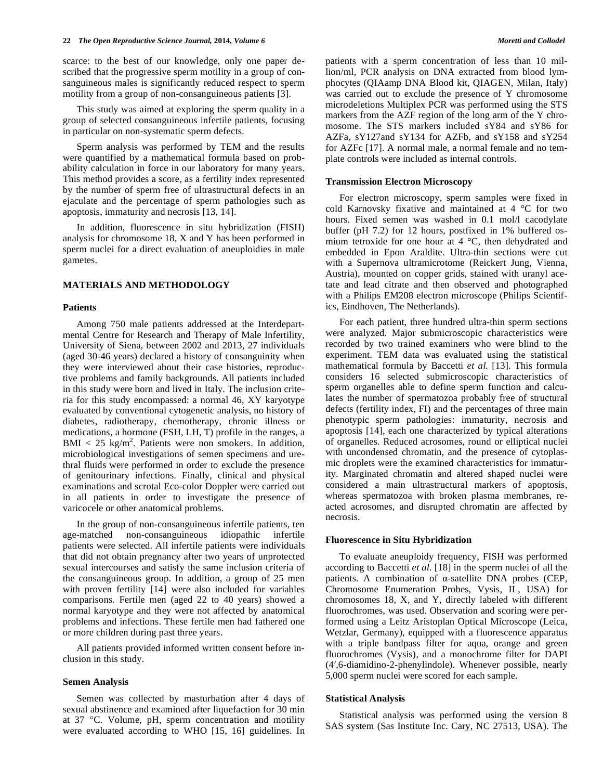scarce: to the best of our knowledge, only one paper described that the progressive sperm motility in a group of consanguineous males is significantly reduced respect to sperm motility from a group of non-consanguineous patients [3].

This study was aimed at exploring the sperm quality in a group of selected consanguineous infertile patients, focusing in particular on non-systematic sperm defects.

Sperm analysis was performed by TEM and the results were quantified by a mathematical formula based on probability calculation in force in our laboratory for many years. This method provides a score, as a fertility index represented by the number of sperm free of ultrastructural defects in an ejaculate and the percentage of sperm pathologies such as apoptosis, immaturity and necrosis [13, 14].

In addition, fluorescence in situ hybridization (FISH) analysis for chromosome 18, X and Y has been performed in sperm nuclei for a direct evaluation of aneuploidies in male gametes.

### **MATERIALS AND METHODOLOGY**

## **Patients**

Among 750 male patients addressed at the Interdepartmental Centre for Research and Therapy of Male Infertility, University of Siena, between 2002 and 2013, 27 individuals (aged 30-46 years) declared a history of consanguinity when they were interviewed about their case histories, reproductive problems and family backgrounds. All patients included in this study were born and lived in Italy. The inclusion criteria for this study encompassed: a normal 46, XY karyotype evaluated by conventional cytogenetic analysis, no history of diabetes, radiotherapy, chemotherapy, chronic illness or medications, a hormone (FSH, LH, T) profile in the ranges, a  $\text{BMI} < 25 \text{ kg/m}^2$ . Patients were non smokers. In addition, microbiological investigations of semen specimens and urethral fluids were performed in order to exclude the presence of genitourinary infections. Finally, clinical and physical examinations and scrotal Eco-color Doppler were carried out in all patients in order to investigate the presence of varicocele or other anatomical problems.

In the group of non-consanguineous infertile patients, ten age-matched non-consanguineous idiopathic infertile patients were selected. All infertile patients were individuals that did not obtain pregnancy after two years of unprotected sexual intercourses and satisfy the same inclusion criteria of the consanguineous group. In addition, a group of 25 men with proven fertility [14] were also included for variables comparisons. Fertile men (aged 22 to 40 years) showed a normal karyotype and they were not affected by anatomical problems and infections. These fertile men had fathered one or more children during past three years.

All patients provided informed written consent before inclusion in this study.

#### **Semen Analysis**

Semen was collected by masturbation after 4 days of sexual abstinence and examined after liquefaction for 30 min at 37 °C. Volume, pH, sperm concentration and motility were evaluated according to WHO [15, 16] guidelines. In patients with a sperm concentration of less than 10 million/ml, PCR analysis on DNA extracted from blood lymphocytes (QIAamp DNA Blood kit, QIAGEN, Milan, Italy) was carried out to exclude the presence of Y chromosome microdeletions Multiplex PCR was performed using the STS markers from the AZF region of the long arm of the Y chromosome. The STS markers included sY84 and sY86 for AZFa, sY127and sY134 for AZFb, and sY158 and sY254 for AZFc [17]. A normal male, a normal female and no template controls were included as internal controls.

#### **Transmission Electron Microscopy**

For electron microscopy, sperm samples were fixed in cold Karnovsky fixative and maintained at 4 °C for two hours. Fixed semen was washed in 0.1 mol/l cacodylate buffer (pH 7.2) for 12 hours, postfixed in 1% buffered osmium tetroxide for one hour at 4 °C, then dehydrated and embedded in Epon Araldite. Ultra-thin sections were cut with a Supernova ultramicrotome (Reickert Jung, Vienna, Austria), mounted on copper grids, stained with uranyl acetate and lead citrate and then observed and photographed with a Philips EM208 electron microscope (Philips Scientifics, Eindhoven, The Netherlands).

For each patient, three hundred ultra-thin sperm sections were analyzed. Major submicroscopic characteristics were recorded by two trained examiners who were blind to the experiment. TEM data was evaluated using the statistical mathematical formula by Baccetti *et al.* [13]. This formula considers 16 selected submicroscopic characteristics of sperm organelles able to define sperm function and calculates the number of spermatozoa probably free of structural defects (fertility index, FI) and the percentages of three main phenotypic sperm pathologies: immaturity, necrosis and apoptosis [14], each one characterized by typical alterations of organelles. Reduced acrosomes, round or elliptical nuclei with uncondensed chromatin, and the presence of cytoplasmic droplets were the examined characteristics for immaturity. Marginated chromatin and altered shaped nuclei were considered a main ultrastructural markers of apoptosis, whereas spermatozoa with broken plasma membranes, reacted acrosomes, and disrupted chromatin are affected by necrosis.

#### **Fluorescence in Situ Hybridization**

To evaluate aneuploidy frequency, FISH was performed according to Baccetti *et al.* [18] in the sperm nuclei of all the patients. A combination of  $\alpha$ -satellite DNA probes (CEP, Chromosome Enumeration Probes, Vysis, IL, USA) for chromosomes 18, X, and Y, directly labeled with different fluorochromes, was used. Observation and scoring were performed using a Leitz Aristoplan Optical Microscope (Leica, Wetzlar, Germany), equipped with a fluorescence apparatus with a triple bandpass filter for aqua, orange and green fluorochromes (Vysis), and a monochrome filter for DAPI (4-,6-diamidino-2-phenylindole). Whenever possible, nearly 5,000 sperm nuclei were scored for each sample.

#### **Statistical Analysis**

Statistical analysis was performed using the version 8 SAS system (Sas Institute Inc. Cary, NC 27513, USA). The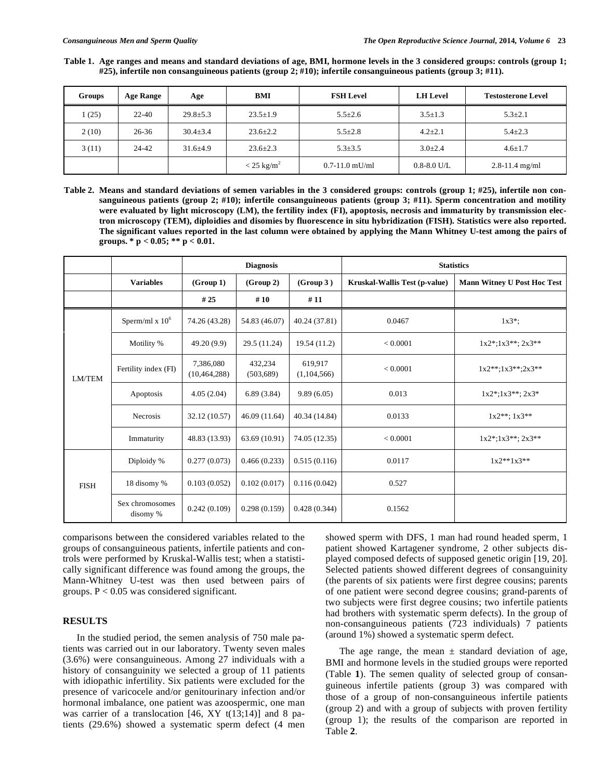**Table 1. Age ranges and means and standard deviations of age, BMI, hormone levels in the 3 considered groups: controls (group 1; #25), infertile non consanguineous patients (group 2; #10); infertile consanguineous patients (group 3; #11).** 

| Groups | Age Range | Age            | BMI                      | <b>FSH Level</b>   | <b>LH</b> Level | <b>Testosterone Level</b> |
|--------|-----------|----------------|--------------------------|--------------------|-----------------|---------------------------|
| 1(25)  | $22 - 40$ | $29.8 \pm 5.3$ | $23.5 \pm 1.9$           | $5.5 \pm 2.6$      | $3.5 \pm 1.3$   | $5.3 \pm 2.1$             |
| 2(10)  | $26 - 36$ | $30.4 \pm 3.4$ | $23.6 \pm 2.2$           | $5.5 \pm 2.8$      | $4.2 \pm 2.1$   | $5.4 \pm 2.3$             |
| 3(11)  | 24-42     | $31.6 + 4.9$   | $23.6 \pm 2.3$           | $5.3 \pm 3.5$      | $3.0 \pm 2.4$   | $4.6 \pm 1.7$             |
|        |           |                | $<$ 25 kg/m <sup>2</sup> | $0.7 - 11.0$ mU/ml | $0.8 - 8.0$ U/L | $2.8 - 11.4$ mg/ml        |

**Table 2. Means and standard deviations of semen variables in the 3 considered groups: controls (group 1; #25), infertile non consanguineous patients (group 2; #10); infertile consanguineous patients (group 3; #11). Sperm concentration and motility were evaluated by light microscopy (LM), the fertility index (FI), apoptosis, necrosis and immaturity by transmission electron microscopy (TEM), diploidies and disomies by fluorescence in situ hybridization (FISH). Statistics were also reported. The significant values reported in the last column were obtained by applying the Mann Whitney U-test among the pairs of groups. \* p < 0.05; \*\* p < 0.01.** 

|               |                             | <b>Diagnosis</b>            |                       |                        | <b>Statistics</b>             |                                    |  |
|---------------|-----------------------------|-----------------------------|-----------------------|------------------------|-------------------------------|------------------------------------|--|
|               | <b>Variables</b>            | (Group 1)                   | (Group 2)             | (Group 3)              | Kruskal-Wallis Test (p-value) | <b>Mann Witney U Post Hoc Test</b> |  |
|               |                             | # 25                        | #10                   | #11                    |                               |                                    |  |
| <b>LM/TEM</b> | Sperm/ml x $106$            | 74.26 (43.28)               | 54.83 (46.07)         | 40.24 (37.81)          | 0.0467                        | $1x3^*$ ;                          |  |
|               | Motility %                  | 49.20 (9.9)                 | 29.5 (11.24)          | 19.54 (11.2)           | < 0.0001                      | $1x2^*$ ; $1x3^{**}$ ; $2x3^{**}$  |  |
|               | Fertility index (FI)        | 7,386,080<br>(10, 464, 288) | 432.234<br>(503, 689) | 619.917<br>(1,104,566) | < 0.0001                      | $1x2***:1x3***:2x3**$              |  |
|               | Apoptosis                   | 4.05(2.04)                  | 6.89(3.84)            | 9.89(6.05)             | 0.013                         | $1x2^*;1x3^{**};2x3^*$             |  |
|               | <b>Necrosis</b>             | 32.12 (10.57)               | 46.09 (11.64)         | 40.34 (14.84)          | 0.0133                        | $1x2***:1x3**$                     |  |
|               | Immaturity                  | 48.83 (13.93)               | 63.69 (10.91)         | 74.05 (12.35)          | < 0.0001                      | $1x2^*;1x3^{**};2x3^{**}$          |  |
| <b>FISH</b>   | Diploidy %                  | 0.277(0.073)                | 0.466(0.233)          | 0.515(0.116)           | 0.0117                        | $1x2**1x3**$                       |  |
|               | 18 disomy %                 | 0.103(0.052)                | 0.102(0.017)          | 0.116(0.042)           | 0.527                         |                                    |  |
|               | Sex chromosomes<br>disomy % | 0.242(0.109)                | 0.298(0.159)          | 0.428(0.344)           | 0.1562                        |                                    |  |

comparisons between the considered variables related to the groups of consanguineous patients, infertile patients and controls were performed by Kruskal-Wallis test; when a statistically significant difference was found among the groups, the Mann-Whitney U-test was then used between pairs of groups.  $P < 0.05$  was considered significant.

# **RESULTS**

In the studied period, the semen analysis of 750 male patients was carried out in our laboratory. Twenty seven males (3.6%) were consanguineous. Among 27 individuals with a history of consanguinity we selected a group of 11 patients with idiopathic infertility. Six patients were excluded for the presence of varicocele and/or genitourinary infection and/or hormonal imbalance, one patient was azoospermic, one man was carrier of a translocation [46, XY t(13;14)] and 8 patients (29.6%) showed a systematic sperm defect (4 men

showed sperm with DFS, 1 man had round headed sperm, 1 patient showed Kartagener syndrome, 2 other subjects displayed composed defects of supposed genetic origin [19, 20]. Selected patients showed different degrees of consanguinity (the parents of six patients were first degree cousins; parents of one patient were second degree cousins; grand-parents of two subjects were first degree cousins; two infertile patients had brothers with systematic sperm defects). In the group of non-consanguineous patients (723 individuals) 7 patients (around 1%) showed a systematic sperm defect.

The age range, the mean  $\pm$  standard deviation of age, BMI and hormone levels in the studied groups were reported (Table **1**). The semen quality of selected group of consanguineous infertile patients (group 3) was compared with those of a group of non-consanguineous infertile patients (group 2) and with a group of subjects with proven fertility (group 1); the results of the comparison are reported in Table **2**.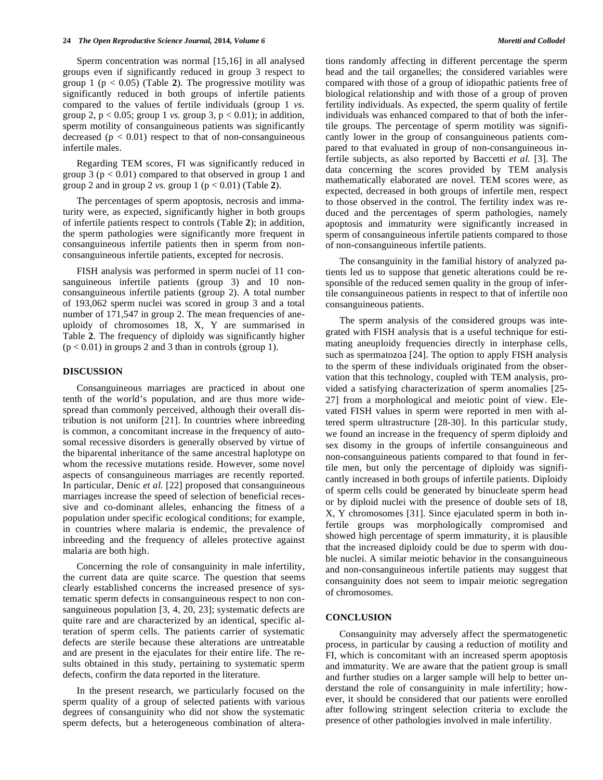Sperm concentration was normal [15,16] in all analysed groups even if significantly reduced in group 3 respect to group 1 ( $p < 0.05$ ) (Table 2). The progressive motility was significantly reduced in both groups of infertile patients compared to the values of fertile individuals (group 1 *vs.* group 2,  $p < 0.05$ ; group 1 *vs.* group 3,  $p < 0.01$ ); in addition, sperm motility of consanguineous patients was significantly decreased  $(p < 0.01)$  respect to that of non-consanguineous infertile males.

Regarding TEM scores, FI was significantly reduced in group 3 ( $p < 0.01$ ) compared to that observed in group 1 and group 2 and in group 2 *vs.* group 1 ( $p < 0.01$ ) (Table 2).

The percentages of sperm apoptosis, necrosis and immaturity were, as expected, significantly higher in both groups of infertile patients respect to controls (Table **2**); in addition, the sperm pathologies were significantly more frequent in consanguineous infertile patients then in sperm from nonconsanguineous infertile patients, excepted for necrosis.

FISH analysis was performed in sperm nuclei of 11 consanguineous infertile patients (group 3) and 10 nonconsanguineous infertile patients (group 2). A total number of 193,062 sperm nuclei was scored in group 3 and a total number of 171,547 in group 2. The mean frequencies of aneuploidy of chromosomes 18, X, Y are summarised in Table **2**. The frequency of diploidy was significantly higher  $(p < 0.01)$  in groups 2 and 3 than in controls (group 1).

## **DISCUSSION**

Consanguineous marriages are practiced in about one tenth of the world's population, and are thus more widespread than commonly perceived, although their overall distribution is not uniform [21]. In countries where inbreeding is common, a concomitant increase in the frequency of autosomal recessive disorders is generally observed by virtue of the biparental inheritance of the same ancestral haplotype on whom the recessive mutations reside. However, some novel aspects of consanguineous marriages are recently reported. In particular, Denic *et al.* [22] proposed that consanguineous marriages increase the speed of selection of beneficial recessive and co-dominant alleles, enhancing the fitness of a population under specific ecological conditions; for example, in countries where malaria is endemic, the prevalence of inbreeding and the frequency of alleles protective against malaria are both high.

Concerning the role of consanguinity in male infertility, the current data are quite scarce. The question that seems clearly established concerns the increased presence of systematic sperm defects in consanguineous respect to non consanguineous population [3, 4, 20, 23]; systematic defects are quite rare and are characterized by an identical, specific alteration of sperm cells. The patients carrier of systematic defects are sterile because these alterations are untreatable and are present in the ejaculates for their entire life. The results obtained in this study, pertaining to systematic sperm defects, confirm the data reported in the literature.

In the present research, we particularly focused on the sperm quality of a group of selected patients with various degrees of consanguinity who did not show the systematic sperm defects, but a heterogeneous combination of alterations randomly affecting in different percentage the sperm head and the tail organelles; the considered variables were compared with those of a group of idiopathic patients free of biological relationship and with those of a group of proven fertility individuals. As expected, the sperm quality of fertile individuals was enhanced compared to that of both the infertile groups. The percentage of sperm motility was significantly lower in the group of consanguineous patients compared to that evaluated in group of non-consanguineous infertile subjects, as also reported by Baccetti *et al.* [3]. The data concerning the scores provided by TEM analysis mathematically elaborated are novel. TEM scores were, as expected, decreased in both groups of infertile men, respect to those observed in the control. The fertility index was reduced and the percentages of sperm pathologies, namely apoptosis and immaturity were significantly increased in sperm of consanguineous infertile patients compared to those of non-consanguineous infertile patients.

The consanguinity in the familial history of analyzed patients led us to suppose that genetic alterations could be responsible of the reduced semen quality in the group of infertile consanguineous patients in respect to that of infertile non consanguineous patients.

The sperm analysis of the considered groups was integrated with FISH analysis that is a useful technique for estimating aneuploidy frequencies directly in interphase cells, such as spermatozoa [24]. The option to apply FISH analysis to the sperm of these individuals originated from the observation that this technology, coupled with TEM analysis, provided a satisfying characterization of sperm anomalies [25- 27] from a morphological and meiotic point of view. Elevated FISH values in sperm were reported in men with altered sperm ultrastructure [28-30]. In this particular study, we found an increase in the frequency of sperm diploidy and sex disomy in the groups of infertile consanguineous and non-consanguineous patients compared to that found in fertile men, but only the percentage of diploidy was significantly increased in both groups of infertile patients. Diploidy of sperm cells could be generated by binucleate sperm head or by diploid nuclei with the presence of double sets of 18, X, Y chromosomes [31]. Since ejaculated sperm in both infertile groups was morphologically compromised and showed high percentage of sperm immaturity, it is plausible that the increased diploidy could be due to sperm with double nuclei. A similar meiotic behavior in the consanguineous and non-consanguineous infertile patients may suggest that consanguinity does not seem to impair meiotic segregation of chromosomes.

# **CONCLUSION**

Consanguinity may adversely affect the spermatogenetic process, in particular by causing a reduction of motility and FI, which is concomitant with an increased sperm apoptosis and immaturity. We are aware that the patient group is small and further studies on a larger sample will help to better understand the role of consanguinity in male infertility; however, it should be considered that our patients were enrolled after following stringent selection criteria to exclude the presence of other pathologies involved in male infertility.